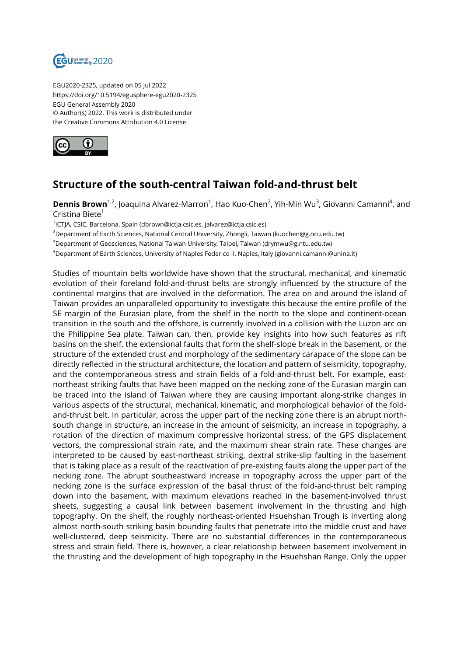

EGU2020-2325, updated on 05 Jul 2022 https://doi.org/10.5194/egusphere-egu2020-2325 EGU General Assembly 2020 © Author(s) 2022. This work is distributed under the Creative Commons Attribution 4.0 License.



## **Structure of the south-central Taiwan fold-and-thrust belt**

**Dennis Brown**<sup>1,2</sup>, Joaquina Alvarez-Marron<sup>1</sup>, Hao Kuo-Chen<sup>2</sup>, Yih-Min Wu<sup>3</sup>, Giovanni Camanni<sup>4</sup>, and Cristina Biete<sup>1</sup>

1 ICTJA, CSIC, Barcelona, Spain (dbrown@ictja.csic.es, jalvarez@ictja.csic.es)

<sup>2</sup>Department of Earth Sciences, National Central University, Zhongli, Taiwan (kuochen@g.ncu.edu.tw)

<sup>3</sup>Department of Geosciences, National Taiwan University, Taipei, Taiwan (drymwu@g.ntu.edu.tw)

<sup>4</sup>Department of Earth Sciences, University of Naples Federico II, Naples, Italy (giovanni.camanni@unina.it)

Studies of mountain belts worldwide have shown that the structural, mechanical, and kinematic evolution of their foreland fold-and-thrust belts are strongly influenced by the structure of the continental margins that are involved in the deformation. The area on and around the island of Taiwan provides an unparalleled opportunity to investigate this because the entire profile of the SE margin of the Eurasian plate, from the shelf in the north to the slope and continent-ocean transition in the south and the offshore, is currently involved in a collision with the Luzon arc on the Philippine Sea plate. Taiwan can, then, provide key insights into how such features as rift basins on the shelf, the extensional faults that form the shelf-slope break in the basement, or the structure of the extended crust and morphology of the sedimentary carapace of the slope can be directly reflected in the structural architecture, the location and pattern of seismicity, topography, and the contemporaneous stress and strain fields of a fold-and-thrust belt. For example, eastnortheast striking faults that have been mapped on the necking zone of the Eurasian margin can be traced into the island of Taiwan where they are causing important along-strike changes in various aspects of the structural, mechanical, kinematic, and morphological behavior of the foldand-thrust belt. In particular, across the upper part of the necking zone there is an abrupt northsouth change in structure, an increase in the amount of seismicity, an increase in topography, a rotation of the direction of maximum compressive horizontal stress, of the GPS displacement vectors, the compressional strain rate, and the maximum shear strain rate. These changes are interpreted to be caused by east-northeast striking, dextral strike-slip faulting in the basement that is taking place as a result of the reactivation of pre-existing faults along the upper part of the necking zone. The abrupt southeastward increase in topography across the upper part of the necking zone is the surface expression of the basal thrust of the fold-and-thrust belt ramping down into the basement, with maximum elevations reached in the basement-involved thrust sheets, suggesting a causal link between basement involvement in the thrusting and high topography. On the shelf, the roughly northeast-oriented Hsuehshan Trough is inverting along almost north-south striking basin bounding faults that penetrate into the middle crust and have well-clustered, deep seismicity. There are no substantial differences in the contemporaneous stress and strain field. There is, however, a clear relationship between basement involvement in the thrusting and the development of high topography in the Hsuehshan Range. Only the upper